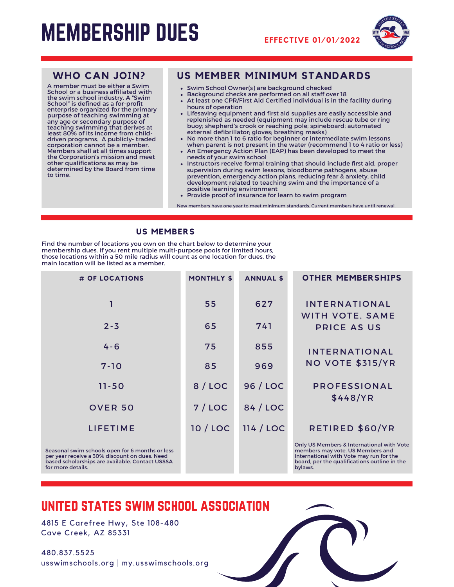# MEMBERSHIP DUES **EFFECTIVE 01/01/2022**





A member must be either a Swim School or a business affiliated with the swim school industry. A "Swim School" is defined as a for-profit enterprise organized for the primary purpose of teaching swimming at any age or secondary purpose of teaching swimming that derives at least 80% of its income from childdriven programs. A publicly- traded<br>corporation cannot be a member. corporation cannot be <sup>a</sup> member. Members shall at all times support the Corporation's mission and meet other qualifications as may be determined by the Board from time to time.

### **WHO CAN JOIN? US MEMBER MINIMUM STANDARDS**

- Swim School Owner(s) are background checked
- Background checks are performed on all staff over 18
- At least one CPR/First Aid Certified individual is in the facility during hours of operation
- Lifesaving equipment and first aid supplies are easily accessible and replenished as needed (equipment may include rescue tube or ring buoy; shepherd's crook or reaching pole; spineboard; automated external defibrillator; gloves; breathing masks)
- No more than 1 to 6 ratio for beginner or intermediate swim lessons when parent is not present in the water (recommend 1 to 4 ratio or less)
- An Emergency Action Plan (EAP) has been developed to meet the needs of your swim school
- Instructors receive formal training that should include first aid, proper supervision during swim lessons, bloodborne pathogens, abuse prevention, emergency action plans, reducing fear & anxiety, child development related to teaching swim and the importance of a positive learning environment
- Provide proof of insurance for learn to swim program

New members have one year to meet minimum standards. Current members have until renewal.

### **US MEMBERS**

Find the number of locations you own on the chart below to determine your membership dues. If you rent multiple multi-purpose pools for limited hours, those locations within a 50 mile radius will count as one location for dues, the main location will be listed as a member.

| # OF LOCATIONS                                                                                                                                                           | <b>MONTHLY \$</b> | <b>ANNUAL \$</b> | <b>OTHER MEMBERSHIPS</b>                                                                                                                                                            |
|--------------------------------------------------------------------------------------------------------------------------------------------------------------------------|-------------------|------------------|-------------------------------------------------------------------------------------------------------------------------------------------------------------------------------------|
| 1                                                                                                                                                                        | 55                | 627              | <b>INTERNATIONAL</b><br><b>WITH VOTE, SAME</b>                                                                                                                                      |
| $2 - 3$                                                                                                                                                                  | 65                | 741              | PRICE AS US                                                                                                                                                                         |
| $4 - 6$                                                                                                                                                                  | 75                | 855              | <b>INTERNATIONAL</b>                                                                                                                                                                |
| $7 - 10$                                                                                                                                                                 | 85                | 969              | <b>NO VOTE \$315/YR</b>                                                                                                                                                             |
| $11 - 50$                                                                                                                                                                | 8 / LOC           | 96 / LOC         | <b>PROFESSIONAL</b>                                                                                                                                                                 |
| <b>OVER 50</b>                                                                                                                                                           | 7/LOC             | 84 / LOC         | \$448/YR                                                                                                                                                                            |
| <b>LIFETIME</b>                                                                                                                                                          | 10 / LOC          | 114 / LOC        | RETIRED \$60/YR                                                                                                                                                                     |
| Seasonal swim schools open for 6 months or less<br>per year receive a 30% discount on dues. Need<br>based scholarships are available. Contact USSSA<br>for more details. |                   |                  | Only US Members & International with Vote<br>members may vote. US Members and<br>International with Vote may run for the<br>board, per the qualifications outline in the<br>bylaws. |

## united states swim school association

4815 E Carefree Hwy, Ste 108-480 Cave Creek, AZ 85331

480.837.5525 usswimschools.org | my.usswimschools.org